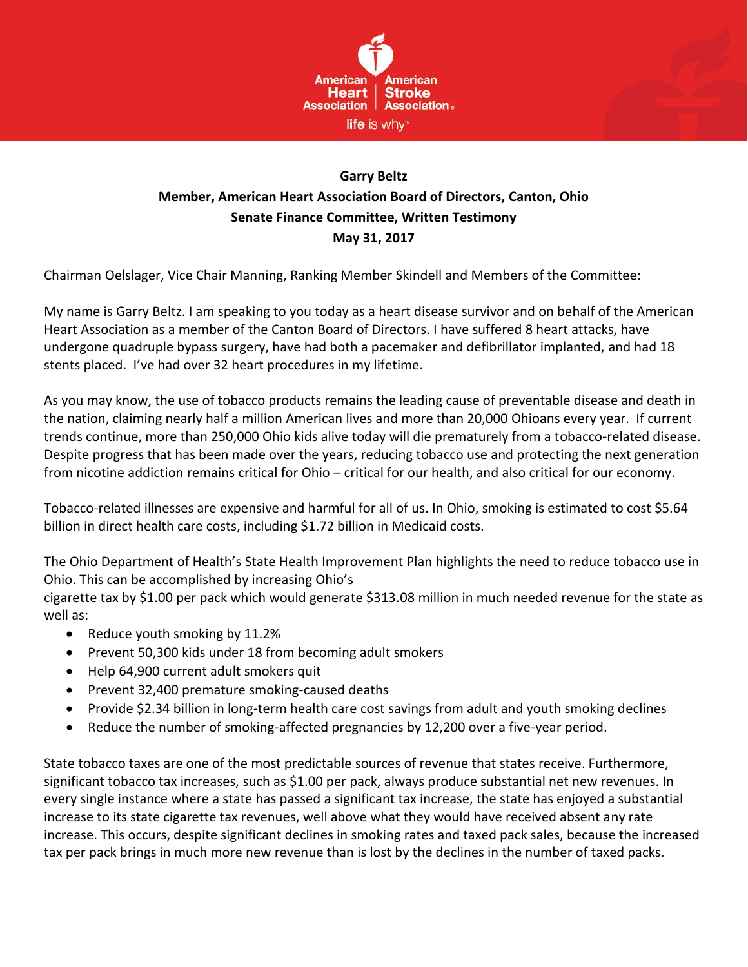

## **Garry Beltz Member, American Heart Association Board of Directors, Canton, Ohio Senate Finance Committee, Written Testimony May 31, 2017**

Chairman Oelslager, Vice Chair Manning, Ranking Member Skindell and Members of the Committee:

My name is Garry Beltz. I am speaking to you today as a heart disease survivor and on behalf of the American Heart Association as a member of the Canton Board of Directors. I have suffered 8 heart attacks, have undergone quadruple bypass surgery, have had both a pacemaker and defibrillator implanted, and had 18 stents placed. I've had over 32 heart procedures in my lifetime.

As you may know, the use of tobacco products remains the leading cause of preventable disease and death in the nation, claiming nearly half a million American lives and more than 20,000 Ohioans every year. If current trends continue, more than 250,000 Ohio kids alive today will die prematurely from a tobacco-related disease. Despite progress that has been made over the years, reducing tobacco use and protecting the next generation from nicotine addiction remains critical for Ohio – critical for our health, and also critical for our economy.

Tobacco-related illnesses are expensive and harmful for all of us. In Ohio, smoking is estimated to cost \$5.64 billion in direct health care costs, including \$1.72 billion in Medicaid costs.

The Ohio Department of Health's State Health Improvement Plan highlights the need to reduce tobacco use in Ohio. This can be accomplished by increasing Ohio's

cigarette tax by \$1.00 per pack which would generate \$313.08 million in much needed revenue for the state as well as:

- Reduce youth smoking by 11.2%
- Prevent 50,300 kids under 18 from becoming adult smokers
- Help 64,900 current adult smokers quit
- Prevent 32,400 premature smoking-caused deaths
- Provide \$2.34 billion in long-term health care cost savings from adult and youth smoking declines
- Reduce the number of smoking-affected pregnancies by 12,200 over a five-year period.

State tobacco taxes are one of the most predictable sources of revenue that states receive. Furthermore, significant tobacco tax increases, such as \$1.00 per pack, always produce substantial net new revenues. In every single instance where a state has passed a significant tax increase, the state has enjoyed a substantial increase to its state cigarette tax revenues, well above what they would have received absent any rate increase. This occurs, despite significant declines in smoking rates and taxed pack sales, because the increased tax per pack brings in much more new revenue than is lost by the declines in the number of taxed packs.